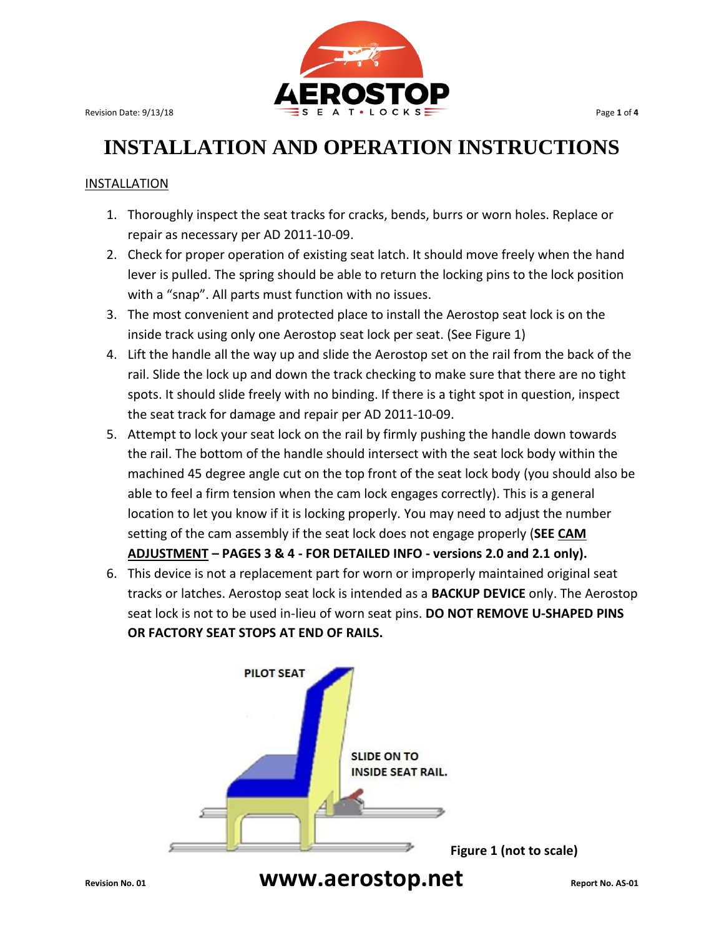

### **INSTALLATION AND OPERATION INSTRUCTIONS**

#### INSTALLATION

- 1. Thoroughly inspect the seat tracks for cracks, bends, burrs or worn holes. Replace or repair as necessary per AD 2011-10-09.
- 2. Check for proper operation of existing seat latch. It should move freely when the hand lever is pulled. The spring should be able to return the locking pins to the lock position with a "snap". All parts must function with no issues.
- 3. The most convenient and protected place to install the Aerostop seat lock is on the inside track using only one Aerostop seat lock per seat. (See Figure 1)
- 4. Lift the handle all the way up and slide the Aerostop set on the rail from the back of the rail. Slide the lock up and down the track checking to make sure that there are no tight spots. It should slide freely with no binding. If there is a tight spot in question, inspect the seat track for damage and repair per AD 2011-10-09.
- 5. Attempt to lock your seat lock on the rail by firmly pushing the handle down towards the rail. The bottom of the handle should intersect with the seat lock body within the machined 45 degree angle cut on the top front of the seat lock body (you should also be able to feel a firm tension when the cam lock engages correctly). This is a general location to let you know if it is locking properly. You may need to adjust the number setting of the cam assembly if the seat lock does not engage properly (**SEE CAM ADJUSTMENT – PAGES 3 & 4 - FOR DETAILED INFO - versions 2.0 and 2.1 only).**
- 6. This device is not a replacement part for worn or improperly maintained original seat tracks or latches. Aerostop seat lock is intended as a **BACKUP DEVICE** only. The Aerostop seat lock is not to be used in-lieu of worn seat pins. **DO NOT REMOVE U-SHAPED PINS OR FACTORY SEAT STOPS AT END OF RAILS.**

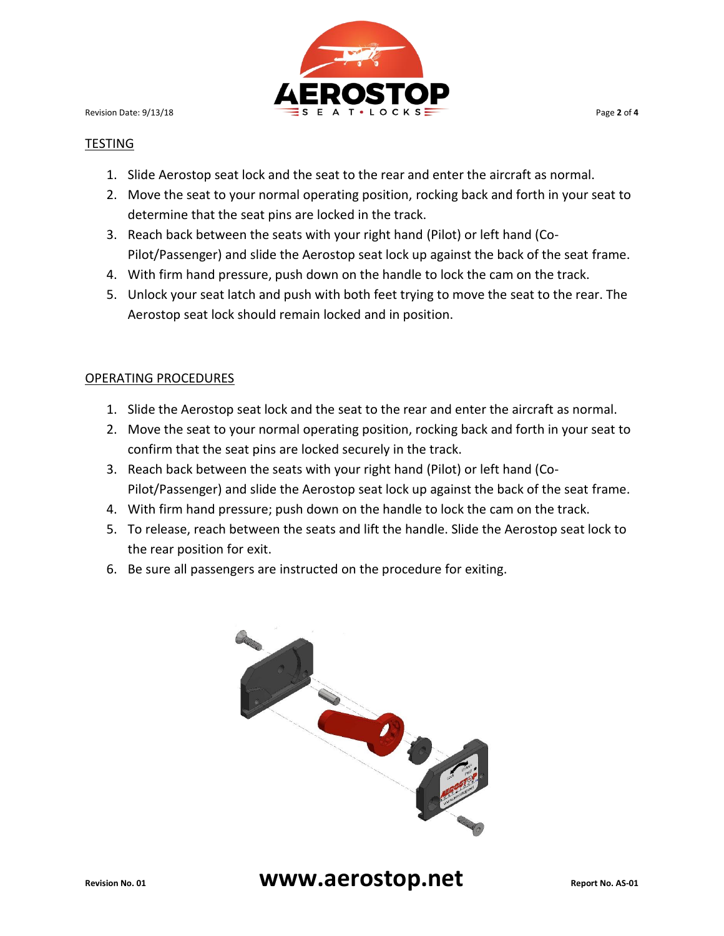

#### TESTING

- 1. Slide Aerostop seat lock and the seat to the rear and enter the aircraft as normal.
- 2. Move the seat to your normal operating position, rocking back and forth in your seat to determine that the seat pins are locked in the track.
- 3. Reach back between the seats with your right hand (Pilot) or left hand (Co-Pilot/Passenger) and slide the Aerostop seat lock up against the back of the seat frame.
- 4. With firm hand pressure, push down on the handle to lock the cam on the track.
- 5. Unlock your seat latch and push with both feet trying to move the seat to the rear. The Aerostop seat lock should remain locked and in position.

#### OPERATING PROCEDURES

- 1. Slide the Aerostop seat lock and the seat to the rear and enter the aircraft as normal.
- 2. Move the seat to your normal operating position, rocking back and forth in your seat to confirm that the seat pins are locked securely in the track.
- 3. Reach back between the seats with your right hand (Pilot) or left hand (Co-Pilot/Passenger) and slide the Aerostop seat lock up against the back of the seat frame.
- 4. With firm hand pressure; push down on the handle to lock the cam on the track.
- 5. To release, reach between the seats and lift the handle. Slide the Aerostop seat lock to the rear position for exit.
- 6. Be sure all passengers are instructed on the procedure for exiting.

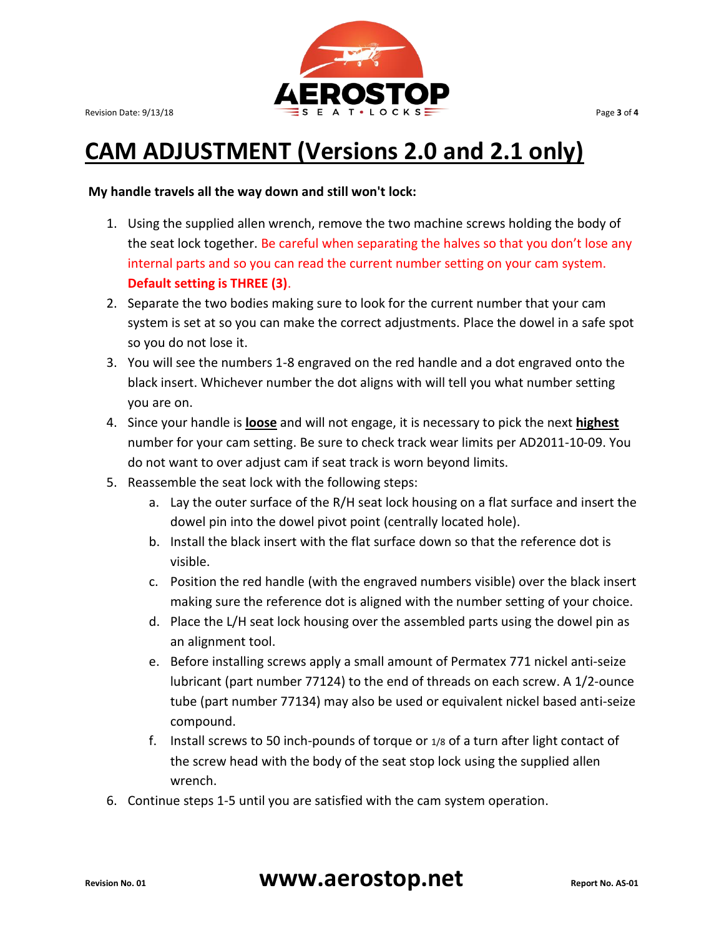

## **CAM ADJUSTMENT (Versions 2.0 and 2.1 only)**

#### **My handle travels all the way down and still won't lock:**

- 1. Using the supplied allen wrench, remove the two machine screws holding the body of the seat lock together. Be careful when separating the halves so that you don't lose any internal parts and so you can read the current number setting on your cam system. **Default setting is THREE (3)**.
- 2. Separate the two bodies making sure to look for the current number that your cam system is set at so you can make the correct adjustments. Place the dowel in a safe spot so you do not lose it.
- 3. You will see the numbers 1-8 engraved on the red handle and a dot engraved onto the black insert. Whichever number the dot aligns with will tell you what number setting you are on.
- 4. Since your handle is **loose** and will not engage, it is necessary to pick the next **highest**  number for your cam setting. Be sure to check track wear limits per AD2011-10-09. You do not want to over adjust cam if seat track is worn beyond limits.
- 5. Reassemble the seat lock with the following steps:
	- a. Lay the outer surface of the R/H seat lock housing on a flat surface and insert the dowel pin into the dowel pivot point (centrally located hole).
	- b. Install the black insert with the flat surface down so that the reference dot is visible.
	- c. Position the red handle (with the engraved numbers visible) over the black insert making sure the reference dot is aligned with the number setting of your choice.
	- d. Place the L/H seat lock housing over the assembled parts using the dowel pin as an alignment tool.
	- e. Before installing screws apply a small amount of Permatex 771 nickel anti-seize lubricant (part number 77124) to the end of threads on each screw. A 1/2-ounce tube (part number 77134) may also be used or equivalent nickel based anti-seize compound.
	- f. Install screws to 50 inch-pounds of torque or 1/8 of a turn after light contact of the screw head with the body of the seat stop lock using the supplied allen wrench.
- 6. Continue steps 1-5 until you are satisfied with the cam system operation.